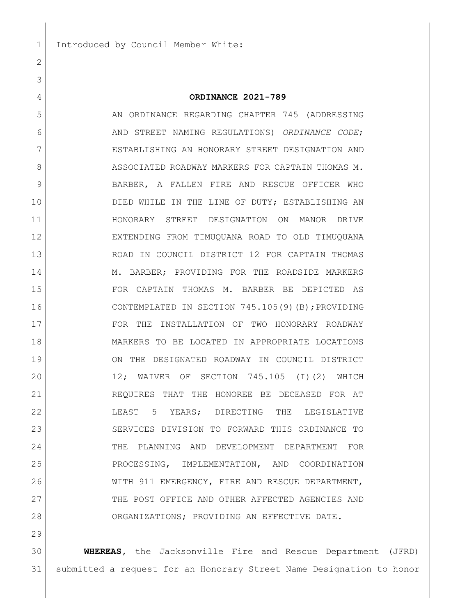## **ORDINANCE 2021-789**

5 AN ORDINANCE REGARDING CHAPTER 745 (ADDRESSING AND STREET NAMING REGULATIONS) *ORDINANCE CODE*; ESTABLISHING AN HONORARY STREET DESIGNATION AND 8 ASSOCIATED ROADWAY MARKERS FOR CAPTAIN THOMAS M. 9 BARBER, A FALLEN FIRE AND RESCUE OFFICER WHO 10 DIED WHILE IN THE LINE OF DUTY; ESTABLISHING AN HONORARY STREET DESIGNATION ON MANOR DRIVE EXTENDING FROM TIMUQUANA ROAD TO OLD TIMUQUANA ROAD IN COUNCIL DISTRICT 12 FOR CAPTAIN THOMAS 14 M. BARBER; PROVIDING FOR THE ROADSIDE MARKERS FOR CAPTAIN THOMAS M. BARBER BE DEPICTED AS CONTEMPLATED IN SECTION 745.105(9)(B);PROVIDING FOR THE INSTALLATION OF TWO HONORARY ROADWAY MARKERS TO BE LOCATED IN APPROPRIATE LOCATIONS ON THE DESIGNATED ROADWAY IN COUNCIL DISTRICT 12; WAIVER OF SECTION 745.105 (I)(2) WHICH REQUIRES THAT THE HONOREE BE DECEASED FOR AT LEAST 5 YEARS; DIRECTING THE LEGISLATIVE SERVICES DIVISION TO FORWARD THIS ORDINANCE TO THE PLANNING AND DEVELOPMENT DEPARTMENT FOR PROCESSING, IMPLEMENTATION, AND COORDINATION WITH 911 EMERGENCY, FIRE AND RESCUE DEPARTMENT, 27 THE POST OFFICE AND OTHER AFFECTED AGENCIES AND ORGANIZATIONS; PROVIDING AN EFFECTIVE DATE.

 **WHEREAS,** the Jacksonville Fire and Rescue Department (JFRD) submitted a request for an Honorary Street Name Designation to honor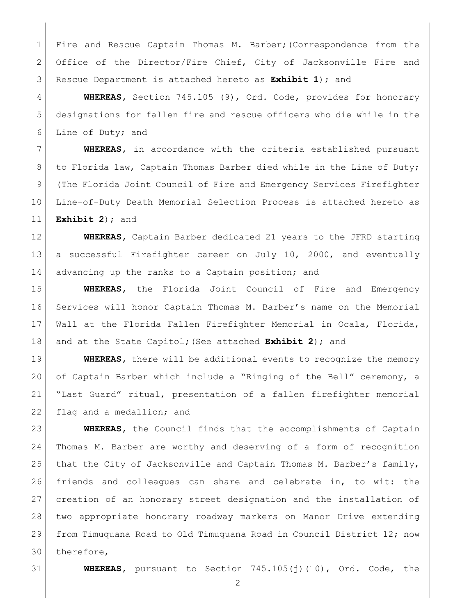Fire and Rescue Captain Thomas M. Barber;(Correspondence from the Office of the Director/Fire Chief, City of Jacksonville Fire and Rescue Department is attached hereto as **Exhibit 1**); and

 **WHEREAS,** Section 745.105 (9), Ord. Code, provides for honorary designations for fallen fire and rescue officers who die while in the Line of Duty; and

 **WHEREAS,** in accordance with the criteria established pursuant 8 to Florida law, Captain Thomas Barber died while in the Line of Duty; (The Florida Joint Council of Fire and Emergency Services Firefighter Line-of-Duty Death Memorial Selection Process is attached hereto as **Exhibit 2**); and

 **WHEREAS,** Captain Barber dedicated 21 years to the JFRD starting a successful Firefighter career on July 10, 2000, and eventually 14 advancing up the ranks to a Captain position; and

 **WHEREAS,** the Florida Joint Council of Fire and Emergency Services will honor Captain Thomas M. Barber's name on the Memorial Wall at the Florida Fallen Firefighter Memorial in Ocala, Florida, and at the State Capitol;(See attached **Exhibit 2**); and

**WHEREAS,** there will be additional events to recognize the memory of Captain Barber which include a "Ringing of the Bell" ceremony, a "Last Guard" ritual, presentation of a fallen firefighter memorial 22 flag and a medallion; and

 **WHEREAS,** the Council finds that the accomplishments of Captain Thomas M. Barber are worthy and deserving of a form of recognition 25 that the City of Jacksonville and Captain Thomas M. Barber's family, friends and colleagues can share and celebrate in, to wit: the creation of an honorary street designation and the installation of two appropriate honorary roadway markers on Manor Drive extending from Timuquana Road to Old Timuquana Road in Council District 12; now therefore,

**WHEREAS,** pursuant to Section 745.105(j)(10), Ord. Code, the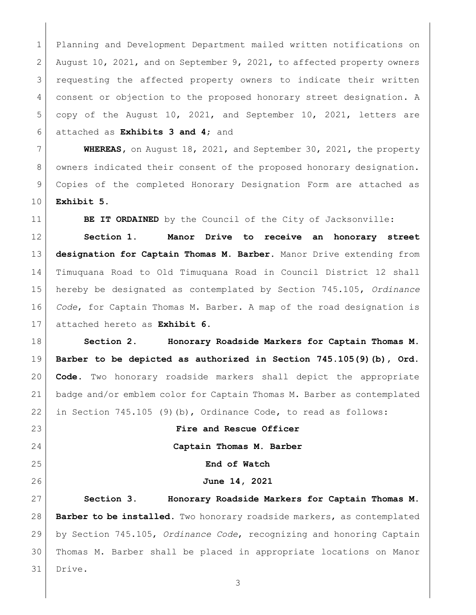Planning and Development Department mailed written notifications on August 10, 2021, and on September 9, 2021, to affected property owners requesting the affected property owners to indicate their written consent or objection to the proposed honorary street designation. A copy of the August 10, 2021, and September 10, 2021, letters are attached as **Exhibits 3 and 4**; and

 **WHEREAS,** on August 18, 2021, and September 30, 2021, the property 8 | owners indicated their consent of the proposed honorary designation. Copies of the completed Honorary Designation Form are attached as **Exhibit 5**.

**BE IT ORDAINED** by the Council of the City of Jacksonville:

 **Section 1. Manor Drive to receive an honorary street designation for Captain Thomas M. Barber.** Manor Drive extending from Timuquana Road to Old Timuquana Road in Council District 12 shall hereby be designated as contemplated by Section 745.105, *Ordinance Code*, for Captain Thomas M. Barber. A map of the road designation is attached hereto as **Exhibit 6**.

 **Section 2. Honorary Roadside Markers for Captain Thomas M. Barber to be depicted as authorized in Section 745.105(9)(b), Ord. Code.** Two honorary roadside markers shall depict the appropriate badge and/or emblem color for Captain Thomas M. Barber as contemplated 22 in Section 745.105 (9)(b), Ordinance Code, to read as follows:

**Fire and Rescue Officer**

**Captain Thomas M. Barber**

**End of Watch**

## **June 14, 2021**

 **Section 3. Honorary Roadside Markers for Captain Thomas M. Barber to be installed**. Two honorary roadside markers, as contemplated by Section 745.105, *Ordinance Code*, recognizing and honoring Captain Thomas M. Barber shall be placed in appropriate locations on Manor Drive.